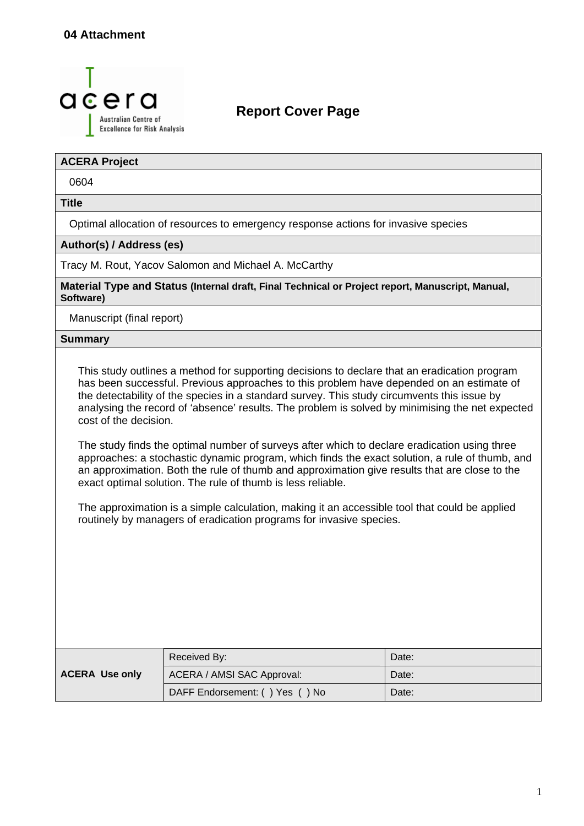

### **Report Cover Page**

#### **ACERA Project**

0604

**Title** 

Optimal allocation of resources to emergency response actions for invasive species

#### **Author(s) / Address (es)**

Tracy M. Rout, Yacov Salomon and Michael A. McCarthy

**Material Type and Status (Internal draft, Final Technical or Project report, Manuscript, Manual, Software)**

Manuscript (final report)

#### **Summary**

This study outlines a method for supporting decisions to declare that an eradication program has been successful. Previous approaches to this problem have depended on an estimate of the detectability of the species in a standard survey. This study circumvents this issue by analysing the record of 'absence' results. The problem is solved by minimising the net expected cost of the decision.

The study finds the optimal number of surveys after which to declare eradication using three approaches: a stochastic dynamic program, which finds the exact solution, a rule of thumb, and an approximation. Both the rule of thumb and approximation give results that are close to the exact optimal solution. The rule of thumb is less reliable.

The approximation is a simple calculation, making it an accessible tool that could be applied routinely by managers of eradication programs for invasive species.

| <b>ACERA Use only</b> | Received By:                   | Date: |
|-----------------------|--------------------------------|-------|
|                       | ACERA / AMSI SAC Approval:     | Date: |
|                       | DAFF Endorsement: () Yes () No | Date: |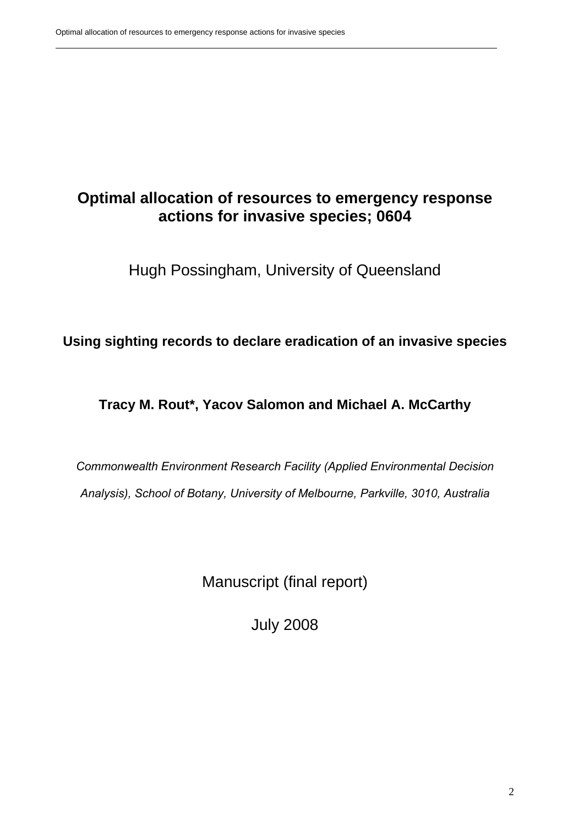### **Optimal allocation of resources to emergency response actions for invasive species; 0604**

Hugh Possingham, University of Queensland

**Using sighting records to declare eradication of an invasive species** 

**Tracy M. Rout\*, Yacov Salomon and Michael A. McCarthy**

*Commonwealth Environment Research Facility (Applied Environmental Decision Analysis), School of Botany, University of Melbourne, Parkville, 3010, Australia* 

Manuscript (final report)

July 2008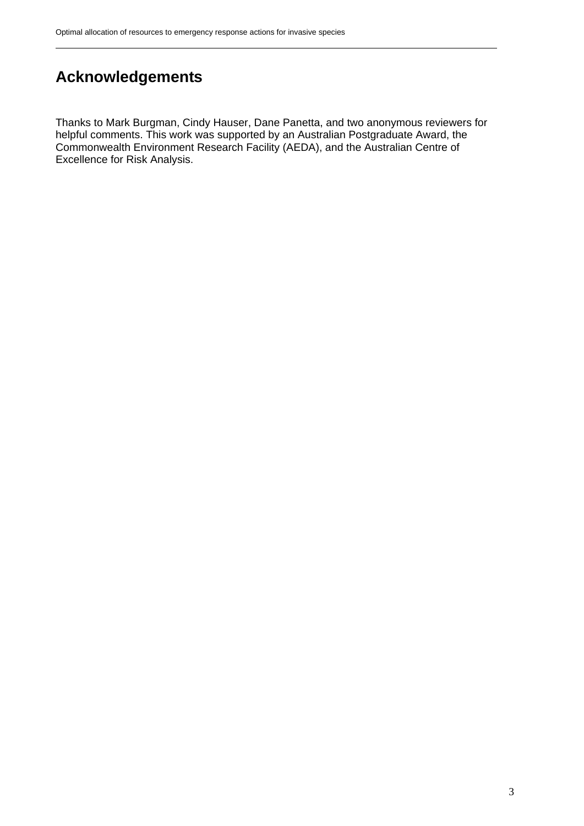## <span id="page-2-0"></span>**Acknowledgements**

Thanks to Mark Burgman, Cindy Hauser, Dane Panetta, and two anonymous reviewers for helpful comments. This work was supported by an Australian Postgraduate Award, the Commonwealth Environment Research Facility (AEDA), and the Australian Centre of Excellence for Risk Analysis.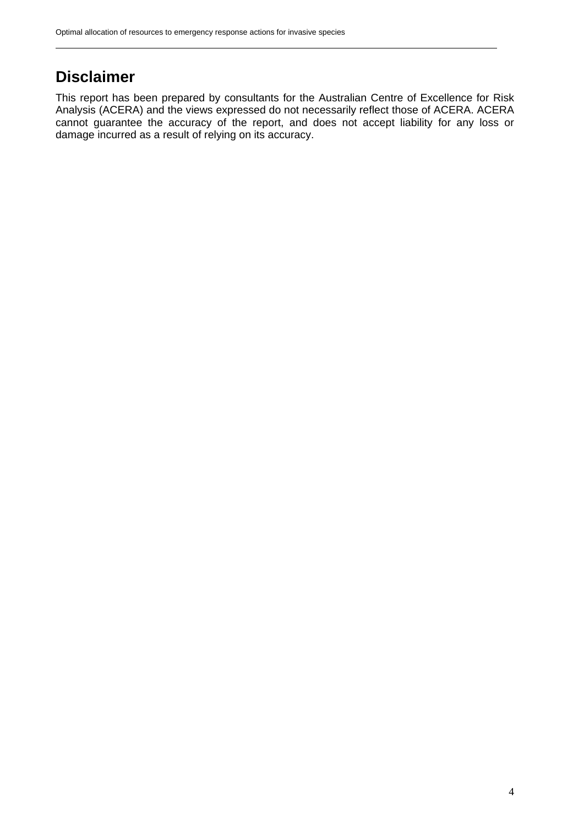### <span id="page-3-0"></span>**Disclaimer**

This report has been prepared by consultants for the Australian Centre of Excellence for Risk Analysis (ACERA) and the views expressed do not necessarily reflect those of ACERA. ACERA cannot guarantee the accuracy of the report, and does not accept liability for any loss or damage incurred as a result of relying on its accuracy.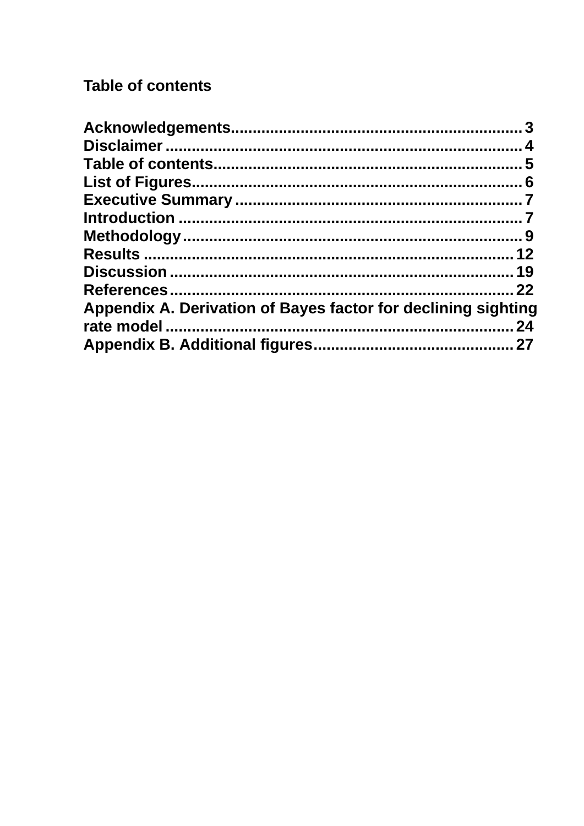## <span id="page-4-0"></span>**Table of contents**

| Appendix A. Derivation of Bayes factor for declining sighting |  |
|---------------------------------------------------------------|--|
|                                                               |  |
|                                                               |  |
|                                                               |  |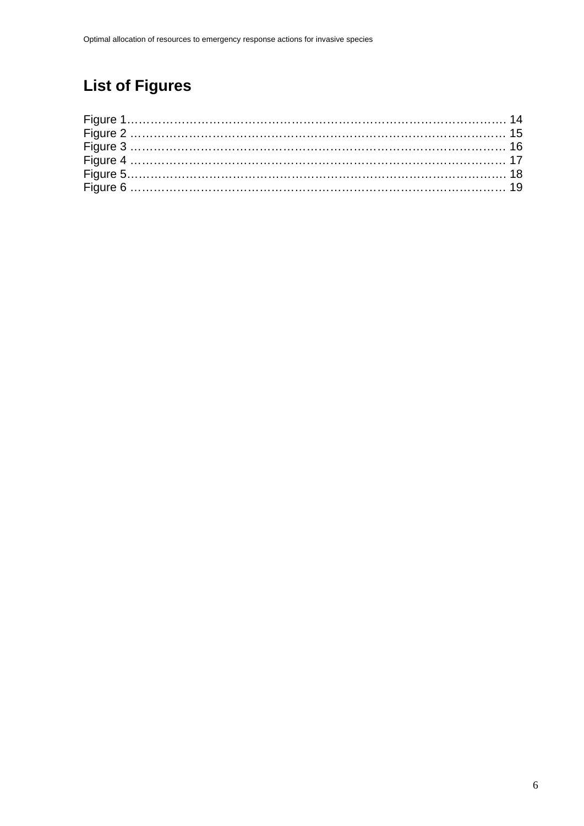# <span id="page-5-0"></span>**List of Figures**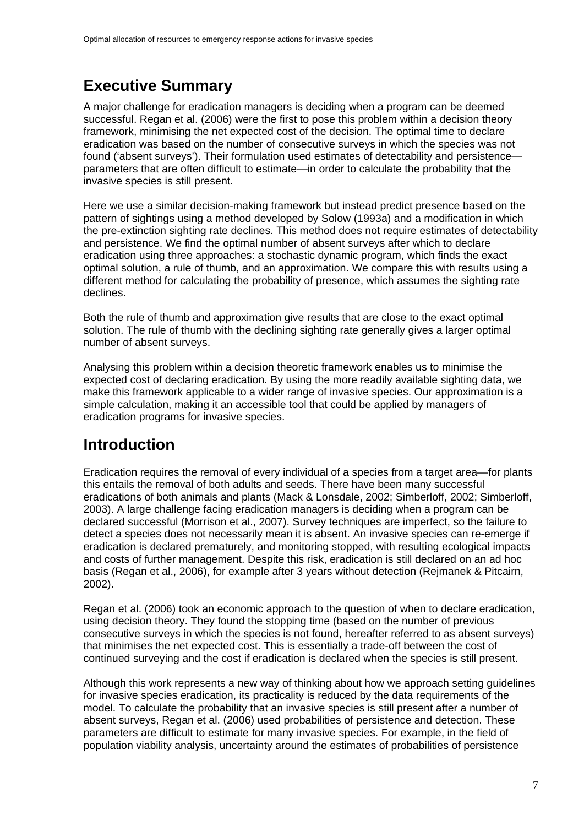## <span id="page-6-0"></span>**Executive Summary**

A major challenge for eradication managers is deciding when a program can be deemed successful. Regan et al. (2006) were the first to pose this problem within a decision theory framework, minimising the net expected cost of the decision. The optimal time to declare eradication was based on the number of consecutive surveys in which the species was not found ('absent surveys'). Their formulation used estimates of detectability and persistence parameters that are often difficult to estimate—in order to calculate the probability that the invasive species is still present.

Here we use a similar decision-making framework but instead predict presence based on the pattern of sightings using a method developed by Solow (1993a) and a modification in which the pre-extinction sighting rate declines. This method does not require estimates of detectability and persistence. We find the optimal number of absent surveys after which to declare eradication using three approaches: a stochastic dynamic program, which finds the exact optimal solution, a rule of thumb, and an approximation. We compare this with results using a different method for calculating the probability of presence, which assumes the sighting rate declines.

Both the rule of thumb and approximation give results that are close to the exact optimal solution. The rule of thumb with the declining sighting rate generally gives a larger optimal number of absent surveys.

Analysing this problem within a decision theoretic framework enables us to minimise the expected cost of declaring eradication. By using the more readily available sighting data, we make this framework applicable to a wider range of invasive species. Our approximation is a simple calculation, making it an accessible tool that could be applied by managers of eradication programs for invasive species.

## **Introduction**

Eradication requires the removal of every individual of a species from a target area—for plants this entails the removal of both adults and seeds. There have been many successful eradications of both animals and plants (Mack & Lonsdale, 2002; Simberloff, 2002; Simberloff, 2003). A large challenge facing eradication managers is deciding when a program can be declared successful (Morrison et al., 2007). Survey techniques are imperfect, so the failure to detect a species does not necessarily mean it is absent. An invasive species can re-emerge if eradication is declared prematurely, and monitoring stopped, with resulting ecological impacts and costs of further management. Despite this risk, eradication is still declared on an ad hoc basis (Regan et al., 2006), for example after 3 years without detection (Rejmanek & Pitcairn, 2002).

Regan et al. (2006) took an economic approach to the question of when to declare eradication, using decision theory. They found the stopping time (based on the number of previous consecutive surveys in which the species is not found, hereafter referred to as absent surveys) that minimises the net expected cost. This is essentially a trade-off between the cost of continued surveying and the cost if eradication is declared when the species is still present.

Although this work represents a new way of thinking about how we approach setting guidelines for invasive species eradication, its practicality is reduced by the data requirements of the model. To calculate the probability that an invasive species is still present after a number of absent surveys, Regan et al. (2006) used probabilities of persistence and detection. These parameters are difficult to estimate for many invasive species. For example, in the field of population viability analysis, uncertainty around the estimates of probabilities of persistence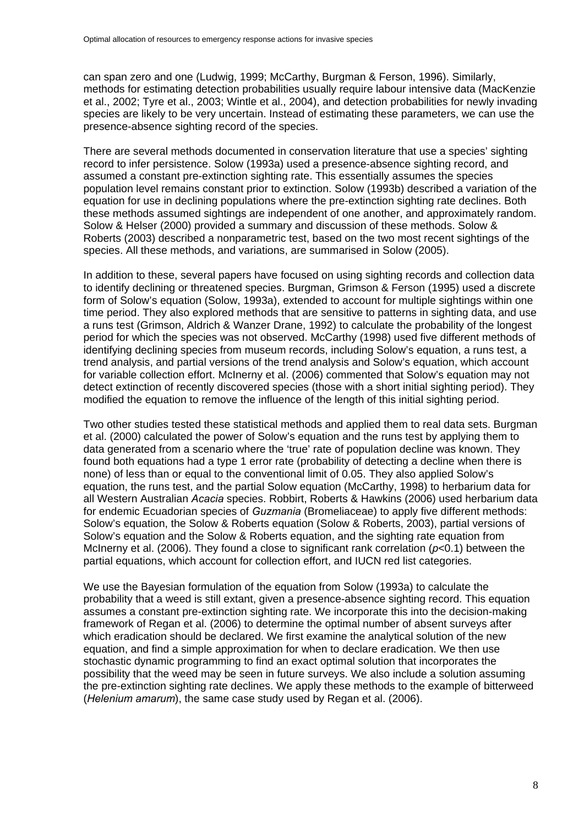can span zero and one (Ludwig, 1999; McCarthy, Burgman & Ferson, 1996). Similarly, methods for estimating detection probabilities usually require labour intensive data (MacKenzie et al., 2002; Tyre et al., 2003; Wintle et al., 2004), and detection probabilities for newly invading species are likely to be very uncertain. Instead of estimating these parameters, we can use the presence-absence sighting record of the species.

There are several methods documented in conservation literature that use a species' sighting record to infer persistence. Solow (1993a) used a presence-absence sighting record, and assumed a constant pre-extinction sighting rate. This essentially assumes the species population level remains constant prior to extinction. Solow (1993b) described a variation of the equation for use in declining populations where the pre-extinction sighting rate declines. Both these methods assumed sightings are independent of one another, and approximately random. Solow & Helser (2000) provided a summary and discussion of these methods. Solow & Roberts (2003) described a nonparametric test, based on the two most recent sightings of the species. All these methods, and variations, are summarised in Solow (2005).

In addition to these, several papers have focused on using sighting records and collection data to identify declining or threatened species. Burgman, Grimson & Ferson (1995) used a discrete form of Solow's equation (Solow, 1993a), extended to account for multiple sightings within one time period. They also explored methods that are sensitive to patterns in sighting data, and use a runs test (Grimson, Aldrich & Wanzer Drane, 1992) to calculate the probability of the longest period for which the species was not observed. McCarthy (1998) used five different methods of identifying declining species from museum records, including Solow's equation, a runs test, a trend analysis, and partial versions of the trend analysis and Solow's equation, which account for variable collection effort. McInerny et al. (2006) commented that Solow's equation may not detect extinction of recently discovered species (those with a short initial sighting period). They modified the equation to remove the influence of the length of this initial sighting period.

Two other studies tested these statistical methods and applied them to real data sets. Burgman et al. (2000) calculated the power of Solow's equation and the runs test by applying them to data generated from a scenario where the 'true' rate of population decline was known. They found both equations had a type 1 error rate (probability of detecting a decline when there is none) of less than or equal to the conventional limit of 0.05. They also applied Solow's equation, the runs test, and the partial Solow equation (McCarthy, 1998) to herbarium data for all Western Australian *Acacia* species. Robbirt, Roberts & Hawkins (2006) used herbarium data for endemic Ecuadorian species of *Guzmania* (Bromeliaceae) to apply five different methods: Solow's equation, the Solow & Roberts equation (Solow & Roberts, 2003), partial versions of Solow's equation and the Solow & Roberts equation, and the sighting rate equation from McInerny et al. (2006). They found a close to significant rank correlation (*p*<0.1) between the partial equations, which account for collection effort, and IUCN red list categories.

We use the Bayesian formulation of the equation from Solow (1993a) to calculate the probability that a weed is still extant, given a presence-absence sighting record. This equation assumes a constant pre-extinction sighting rate. We incorporate this into the decision-making framework of Regan et al. (2006) to determine the optimal number of absent surveys after which eradication should be declared. We first examine the analytical solution of the new equation, and find a simple approximation for when to declare eradication. We then use stochastic dynamic programming to find an exact optimal solution that incorporates the possibility that the weed may be seen in future surveys. We also include a solution assuming the pre-extinction sighting rate declines. We apply these methods to the example of bitterweed (*Helenium amarum*), the same case study used by Regan et al. (2006).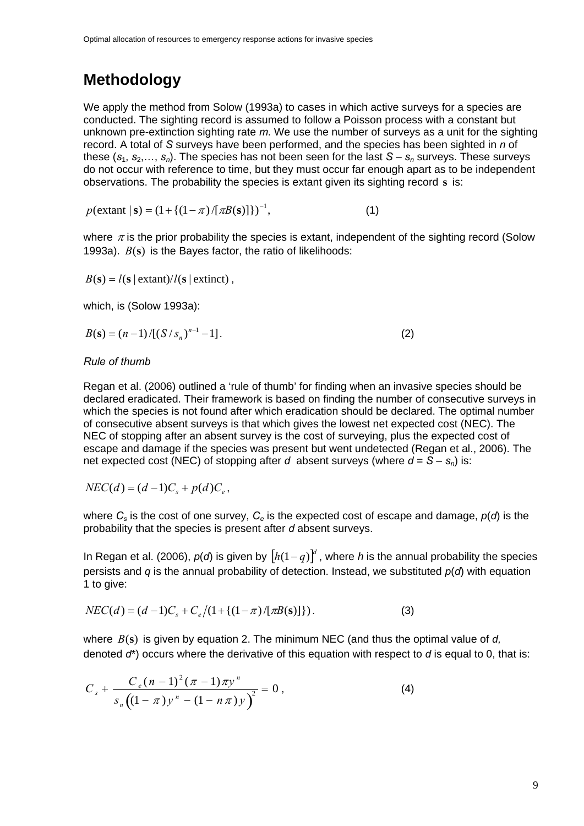### <span id="page-8-0"></span>**Methodology**

We apply the method from Solow (1993a) to cases in which active surveys for a species are conducted. The sighting record is assumed to follow a Poisson process with a constant but unknown pre-extinction sighting rate *m*. We use the number of surveys as a unit for the sighting record. A total of *S* surveys have been performed, and the species has been sighted in *n* of these  $(s_1, s_2,..., s_n)$ . The species has not been seen for the last  $S - s_n$  surveys. These surveys do not occur with reference to time, but they must occur far enough apart as to be independent observations. The probability the species is extant given its sighting record **s** is:

 $p(\text{extant} | \textbf{s}) = (1 + \{(1 - \pi) / [\pi B(\textbf{s})]\})^{-1},$  (1)

where  $\pi$  is the prior probability the species is extant, independent of the sighting record (Solow 1993a).  $B(s)$  is the Bayes factor, the ratio of likelihoods:

$$
B(s) = l(s | \text{extant})/l(s | \text{extinct}) ,
$$

which, is (Solow 1993a):

$$
B(\mathbf{s}) = (n-1)/[(S/s_n)^{n-1} - 1].
$$
 (2)

#### *Rule of thumb*

Regan et al. (2006) outlined a 'rule of thumb' for finding when an invasive species should be declared eradicated. Their framework is based on finding the number of consecutive surveys in which the species is not found after which eradication should be declared. The optimal number of consecutive absent surveys is that which gives the lowest net expected cost (NEC). The NEC of stopping after an absent survey is the cost of surveying, plus the expected cost of escape and damage if the species was present but went undetected (Regan et al., 2006). The net expected cost (NEC) of stopping after *d* absent surveys (where  $d = S - s_n$ ) is:

 $NEC(d) = (d-1)C_{\rm s} + p(d)C_{\rm s}$ 

where  $C_s$  is the cost of one survey,  $C_e$  is the expected cost of escape and damage,  $p(d)$  is the probability that the species is present after *d* absent surveys.

In Regan et al. (2006),  $p(d)$  is given by  $[h(1-q)]^d$ , where *h* is the annual probability the species persists and *q* is the annual probability of detection. Instead, we substituted *p*(*d*) with equation 1 to give:

$$
NEC(d) = (d-1)C_s + C_e/(1 + \{(1-\pi)/[\pi B(s)]\}).
$$
\n(3)

where  $B(s)$  is given by equation 2. The minimum NEC (and thus the optimal value of  $d$ , denoted *d*\*) occurs where the derivative of this equation with respect to *d* is equal to 0, that is:

$$
C_s + \frac{C_e (n-1)^2 (\pi - 1) \pi y^n}{s_n ((1 - \pi) y^n - (1 - n \pi) y)} = 0,
$$
\n(4)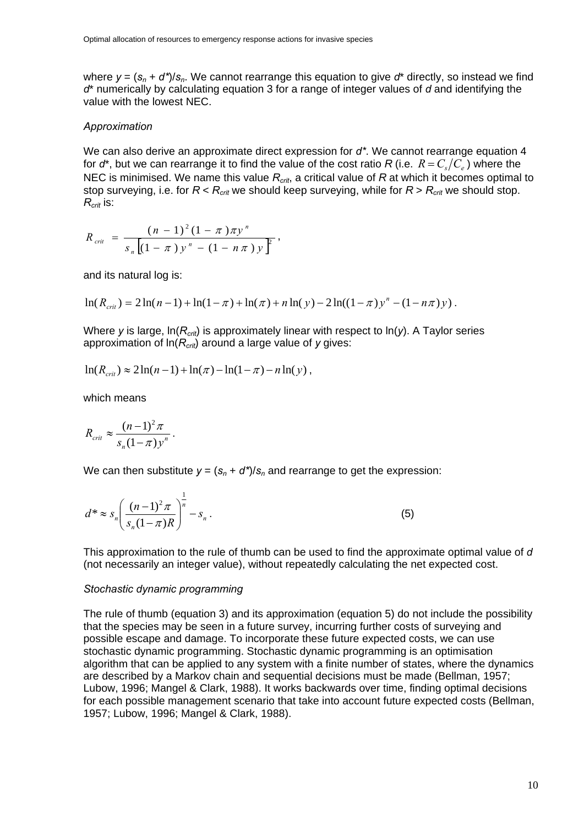where  $y = (s_n + d^*)/s_n$ . We cannot rearrange this equation to give  $d^*$  directly, so instead we find *d*\* numerically by calculating equation 3 for a range of integer values of *d* and identifying the value with the lowest NEC.

#### *Approximation*

We can also derive an approximate direct expression for *d\**. We cannot rearrange equation 4 for  $d^*$ , but we can rearrange it to find the value of the cost ratio *R* (i.e.  $R = C_c/C_e$ ) where the NEC is minimised. We name this value *Rcrit*, a critical value of *R* at which it becomes optimal to stop surveying, i.e. for *R* < *Rcrit* we should keep surveying, while for *R* > *Rcrit* we should stop. *Rcrit* is:

$$
R_{\text{crit}} = \frac{(n-1)^2 (1-\pi) \pi y^n}{s_n [(1-\pi) y^n - (1-n\pi) y]} ,
$$

and its natural log is:

$$
\ln(R_{\text{crit}}) = 2\ln(n-1) + \ln(1-\pi) + \ln(\pi) + n\ln(y) - 2\ln((1-\pi)y^{n} - (1-n\pi)y).
$$

Where *y* is large, ln(*Rcrit*) is approximately linear with respect to ln(*y*). A Taylor series approximation of ln(*Rcrit*) around a large value of *y* gives:

$$
\ln(R_{crit}) \approx 2\ln(n-1) + \ln(\pi) - \ln(1-\pi) - n\ln(y),
$$

which means

$$
R_{\text{crit}} \approx \frac{(n-1)^2 \pi}{s_n (1-\pi) y^n}.
$$

We can then substitute  $y = (s_n + d^*)/s_n$  and rearrange to get the expression:

$$
d^* \approx s_n \left( \frac{(n-1)^2 \pi}{s_n (1-\pi)R} \right)^{\frac{1}{n}} - s_n \,. \tag{5}
$$

This approximation to the rule of thumb can be used to find the approximate optimal value of *d* (not necessarily an integer value), without repeatedly calculating the net expected cost.

#### *Stochastic dynamic programming*

The rule of thumb (equation 3) and its approximation (equation 5) do not include the possibility that the species may be seen in a future survey, incurring further costs of surveying and possible escape and damage. To incorporate these future expected costs, we can use stochastic dynamic programming. Stochastic dynamic programming is an optimisation algorithm that can be applied to any system with a finite number of states, where the dynamics are described by a Markov chain and sequential decisions must be made (Bellman, 1957; Lubow, 1996; Mangel & Clark, 1988). It works backwards over time, finding optimal decisions for each possible management scenario that take into account future expected costs (Bellman, 1957; Lubow, 1996; Mangel & Clark, 1988).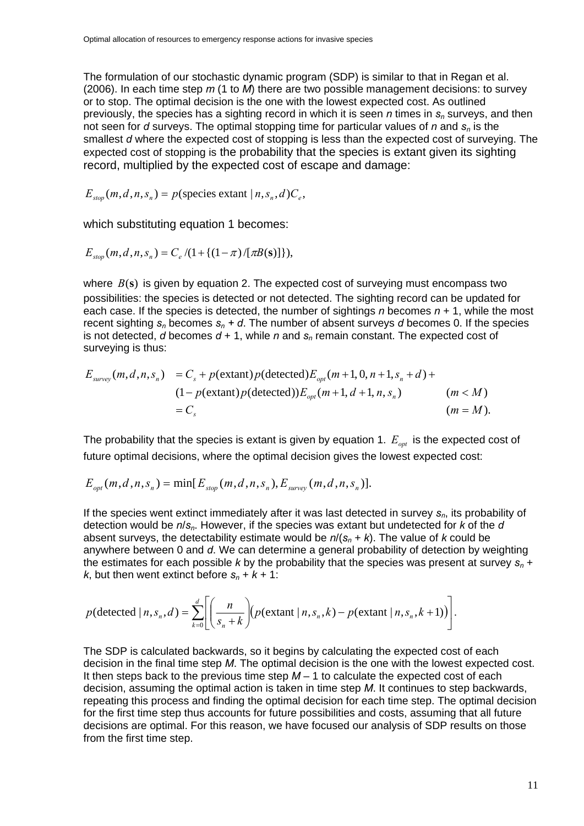The formulation of our stochastic dynamic program (SDP) is similar to that in Regan et al. (2006). In each time step *m* (1 to *M*) there are two possible management decisions: to survey or to stop. The optimal decision is the one with the lowest expected cost. As outlined previously, the species has a sighting record in which it is seen *n* times in *sn* surveys, and then not seen for *d* surveys. The optimal stopping time for particular values of *n* and *sn* is the smallest *d* where the expected cost of stopping is less than the expected cost of surveying. The expected cost of stopping is the probability that the species is extant given its sighting record, multiplied by the expected cost of escape and damage:

 $E_{\text{ston}}(m,d,n,s_n) = p$ (species extant  $|n,s_n,d\rangle C_e$ ,

which substituting equation 1 becomes:

$$
E_{stop}(m,d,n,s_n) = C_e / (1 + \{(1 - \pi) / [\pi B(s)]\}),
$$

where  $B(s)$  is given by equation 2. The expected cost of surveying must encompass two possibilities: the species is detected or not detected. The sighting record can be updated for each case. If the species is detected, the number of sightings *n* becomes *n* + 1, while the most recent sighting  $s_n$  becomes  $s_n$  + d. The number of absent surveys *d* becomes 0. If the species is not detected,  $d$  becomes  $d + 1$ , while  $n$  and  $s_n$  remain constant. The expected cost of surveying is thus:

$$
E_{\text{survey}}(m, d, n, s_n) = C_s + p(\text{extant})p(\text{detected})E_{\text{opt}}(m+1, 0, n+1, s_n + d) +
$$
  
\n
$$
(1 - p(\text{extant})p(\text{detected}))E_{\text{opt}}(m+1, d+1, n, s_n) \qquad (m < M)
$$
  
\n
$$
= C_s \qquad (m = M).
$$

The probability that the species is extant is given by equation 1.  $E_{_{opt}}$  is the expected cost of future optimal decisions, where the optimal decision gives the lowest expected cost:

$$
E_{opt}(m,d,n,s_n) = \min[E_{stop}(m,d,n,s_n), E_{survey}(m,d,n,s_n)].
$$

If the species went extinct immediately after it was last detected in survey  $s_n$ , its probability of detection would be *n*/*sn*. However, if the species was extant but undetected for *k* of the *d* absent surveys, the detectability estimate would be  $n/(s_n + k)$ . The value of *k* could be anywhere between 0 and *d*. We can determine a general probability of detection by weighting the estimates for each possible *k* by the probability that the species was present at survey  $s_n$  + *k*, but then went extinct before  $s_n + k + 1$ :

$$
p(\text{detected} \mid n, s_n, d) = \sum_{k=0}^{d} \left[ \left( \frac{n}{s_n + k} \right) (p(\text{extant} \mid n, s_n, k) - p(\text{extant} \mid n, s_n, k+1)) \right].
$$

The SDP is calculated backwards, so it begins by calculating the expected cost of each decision in the final time step *M*. The optimal decision is the one with the lowest expected cost. It then steps back to the previous time step *M* – 1 to calculate the expected cost of each decision, assuming the optimal action is taken in time step *M*. It continues to step backwards, repeating this process and finding the optimal decision for each time step. The optimal decision for the first time step thus accounts for future possibilities and costs, assuming that all future decisions are optimal. For this reason, we have focused our analysis of SDP results on those from the first time step.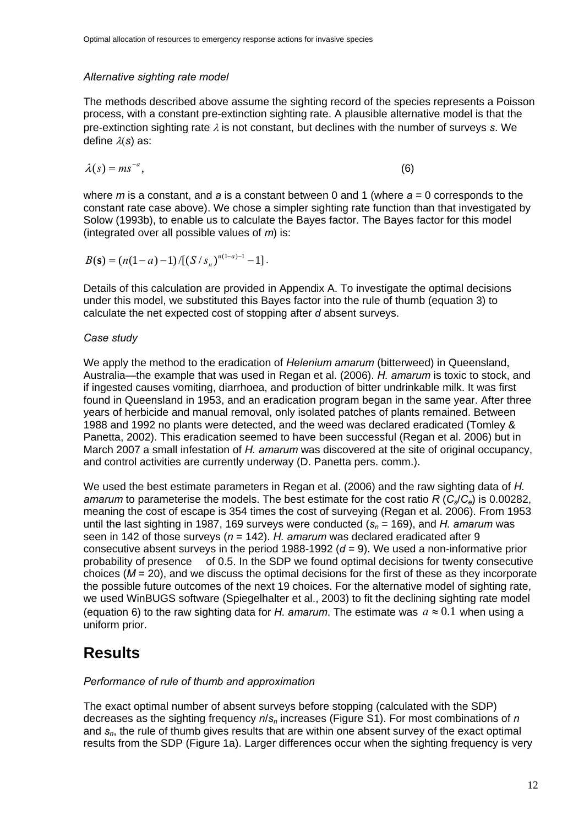#### <span id="page-11-0"></span>*Alternative sighting rate model*

The methods described above assume the sighting record of the species represents a Poisson process, with a constant pre-extinction sighting rate. A plausible alternative model is that the pre-extinction sighting rate  $\lambda$  is not constant, but declines with the number of surveys *s*. We define λ(*s*) as:

$$
\lambda(s) = m s^{-a},\tag{6}
$$

where *m* is a constant, and *a* is a constant between 0 and 1 (where *a* = 0 corresponds to the constant rate case above). We chose a simpler sighting rate function than that investigated by Solow (1993b), to enable us to calculate the Bayes factor. The Bayes factor for this model (integrated over all possible values of *m*) is:

$$
B(\mathbf{s}) = (n(1-a)-1)/[(S/s_n)^{n(1-a)-1}-1].
$$

Details of this calculation are provided in Appendix A. To investigate the optimal decisions under this model, we substituted this Bayes factor into the rule of thumb (equation 3) to calculate the net expected cost of stopping after *d* absent surveys.

#### *Case study*

We apply the method to the eradication of *Helenium amarum* (bitterweed) in Queensland, Australia—the example that was used in Regan et al. (2006). *H. amarum* is toxic to stock, and if ingested causes vomiting, diarrhoea, and production of bitter undrinkable milk. It was first found in Queensland in 1953, and an eradication program began in the same year. After three years of herbicide and manual removal, only isolated patches of plants remained. Between 1988 and 1992 no plants were detected, and the weed was declared eradicated (Tomley & Panetta, 2002). This eradication seemed to have been successful (Regan et al. 2006) but in March 2007 a small infestation of *H. amarum* was discovered at the site of original occupancy, and control activities are currently underway (D. Panetta pers. comm.).

We used the best estimate parameters in Regan et al. (2006) and the raw sighting data of *H. amarum* to parameterise the models. The best estimate for the cost ratio *R* (*C*<sub>s</sub>/*C*<sub>e</sub>) is 0.00282, meaning the cost of escape is 354 times the cost of surveying (Regan et al. 2006). From 1953 until the last sighting in 1987, 169 surveys were conducted  $(s_n = 169)$ , and *H. amarum* was seen in 142 of those surveys (*n* = 142). *H. amarum* was declared eradicated after 9 consecutive absent surveys in the period 1988-1992 ( $d = 9$ ). We used a non-informative prior probability of presence of 0.5. In the SDP we found optimal decisions for twenty consecutive choices (*M* = 20), and we discuss the optimal decisions for the first of these as they incorporate the possible future outcomes of the next 19 choices. For the alternative model of sighting rate, we used WinBUGS software (Spiegelhalter et al., 2003) to fit the declining sighting rate model (equation 6) to the raw sighting data for *H. amarum*. The estimate was  $a \approx 0.1$  when using a uniform prior.

### **Results**

#### *Performance of rule of thumb and approximation*

The exact optimal number of absent surveys before stopping (calculated with the SDP) decreases as the sighting frequency *n*/*sn* increases (Figure S1). For most combinations of *n* and *sn*, the rule of thumb gives results that are within one absent survey of the exact optimal results from the SDP (Figure 1a). Larger differences occur when the sighting frequency is very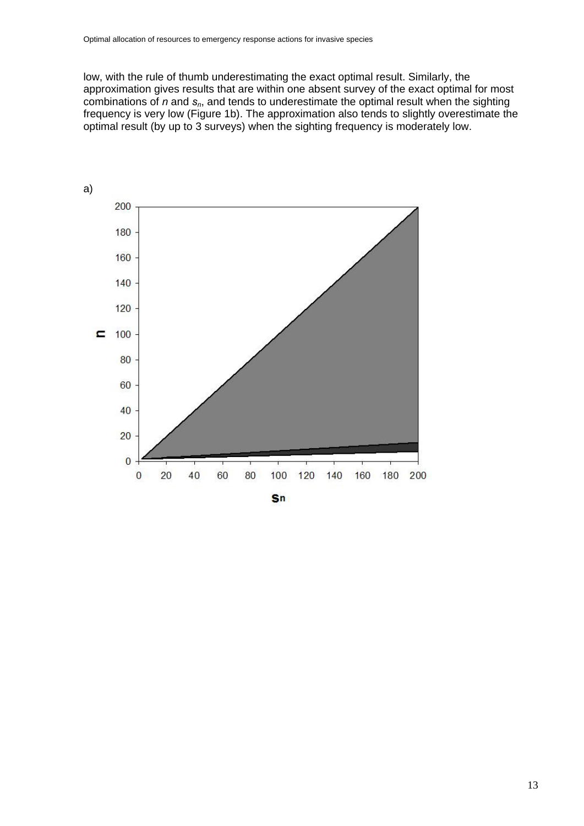low, with the rule of thumb underestimating the exact optimal result. Similarly, the approximation gives results that are within one absent survey of the exact optimal for most combinations of *n* and *s<sub>n</sub>*, and tends to underestimate the optimal result when the sighting frequency is very low (Figure 1b). The approximation also tends to slightly overestimate the optimal result (by up to 3 surveys) when the sighting frequency is moderately low.

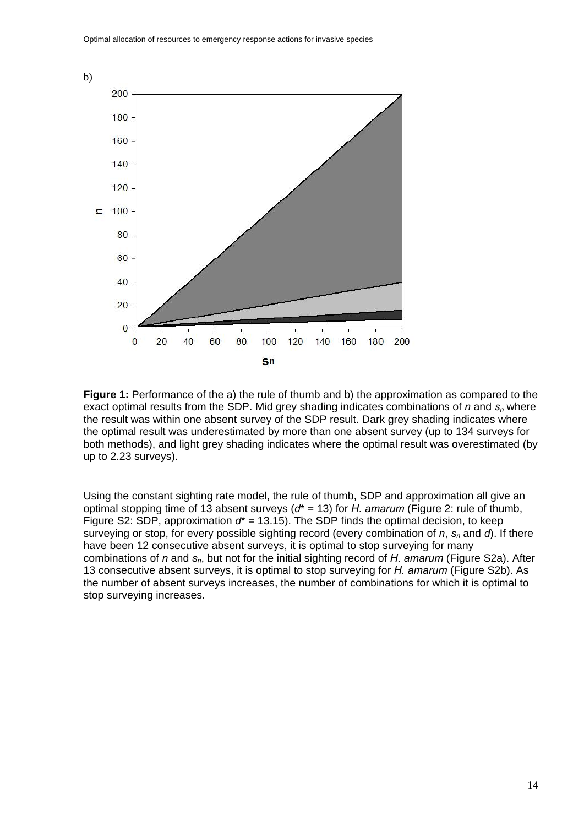

**Figure 1:** Performance of the a) the rule of thumb and b) the approximation as compared to the exact optimal results from the SDP. Mid grey shading indicates combinations of *n* and  $s<sub>n</sub>$  where the result was within one absent survey of the SDP result. Dark grey shading indicates where the optimal result was underestimated by more than one absent survey (up to 134 surveys for both methods), and light grey shading indicates where the optimal result was overestimated (by up to 2.23 surveys).

Using the constant sighting rate model, the rule of thumb, SDP and approximation all give an optimal stopping time of 13 absent surveys (*d*\* = 13) for *H. amarum* (Figure 2: rule of thumb, Figure S2: SDP, approximation  $d^* = 13.15$ ). The SDP finds the optimal decision, to keep surveying or stop, for every possible sighting record (every combination of *n*,  $s_n$  and *d*). If there have been 12 consecutive absent surveys, it is optimal to stop surveying for many combinations of *n* and  $s_n$ , but not for the initial sighting record of *H. amarum* (Figure S2a). After 13 consecutive absent surveys, it is optimal to stop surveying for *H. amarum* (Figure S2b). As the number of absent surveys increases, the number of combinations for which it is optimal to stop surveying increases.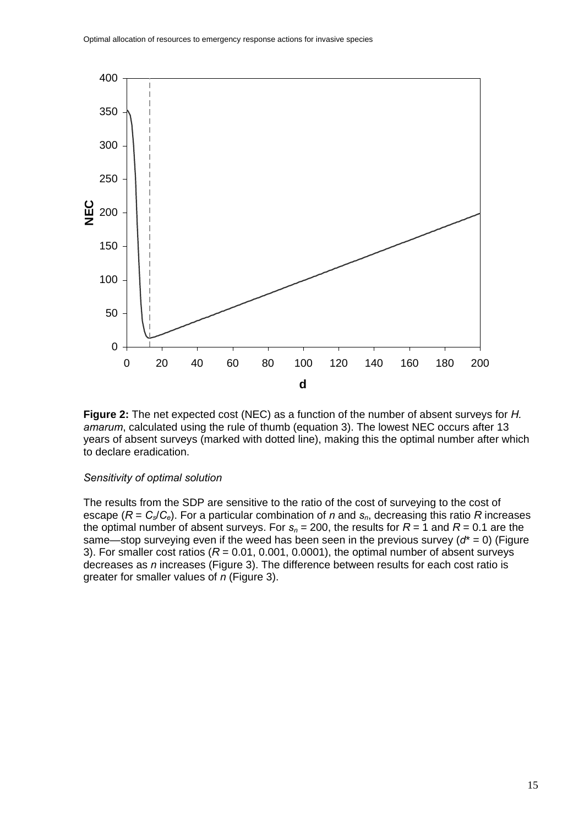

**Figure 2:** The net expected cost (NEC) as a function of the number of absent surveys for *H. amarum*, calculated using the rule of thumb (equation 3). The lowest NEC occurs after 13 years of absent surveys (marked with dotted line), making this the optimal number after which to declare eradication.

#### *Sensitivity of optimal solution*

The results from the SDP are sensitive to the ratio of the cost of surveying to the cost of escape ( $R = C_s/C_e$ ). For a particular combination of *n* and  $s_n$ , decreasing this ratio *R* increases the optimal number of absent surveys. For  $s_n = 200$ , the results for  $R = 1$  and  $R = 0.1$  are the same—stop surveying even if the weed has been seen in the previous survey (*d*\* = 0) (Figure 3). For smaller cost ratios  $(R = 0.01, 0.001, 0.0001)$ , the optimal number of absent surveys decreases as *n* increases (Figure 3). The difference between results for each cost ratio is greater for smaller values of *n* (Figure 3).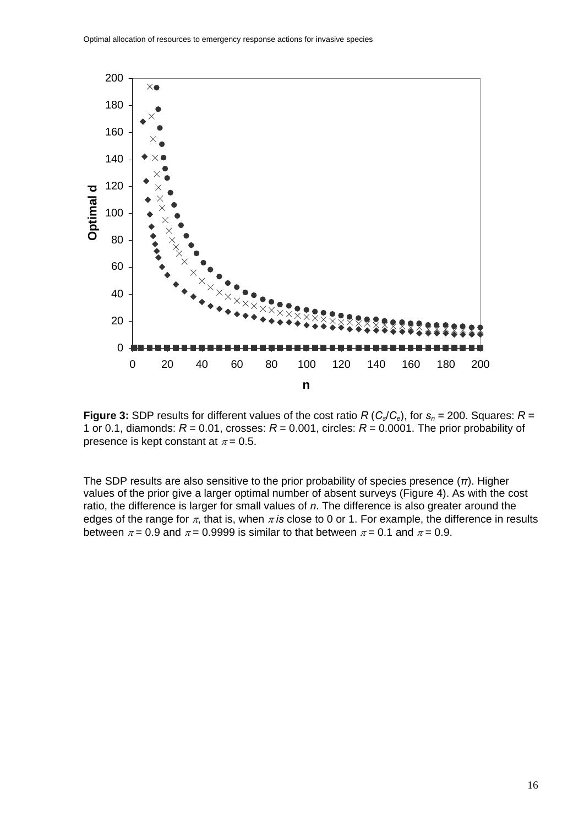

**Figure 3:** SDP results for different values of the cost ratio *R* ( $C_s/C_e$ ), for  $s_n = 200$ . Squares:  $R =$ 1 or 0.1, diamonds:  $R = 0.01$ , crosses:  $R = 0.001$ , circles:  $R = 0.0001$ . The prior probability of presence is kept constant at  $\pi$  = 0.5.

The SDP results are also sensitive to the prior probability of species presence (*π*). Higher values of the prior give a larger optimal number of absent surveys (Figure 4). As with the cost ratio, the difference is larger for small values of *n*. The difference is also greater around the edges of the range for  $\pi$ , that is, when  $\pi$  *is* close to 0 or 1. For example, the difference in results between  $\pi$  = 0.9 and  $\pi$  = 0.9999 is similar to that between  $\pi$  = 0.1 and  $\pi$  = 0.9.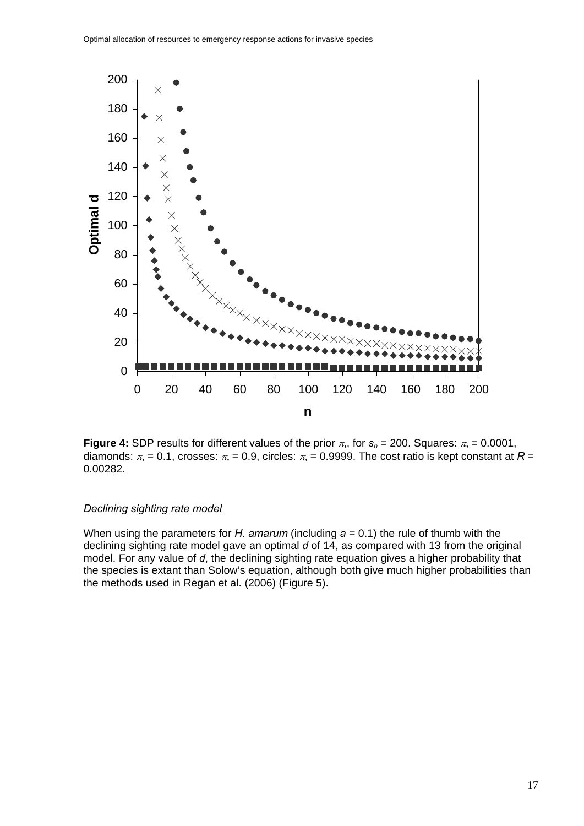

**Figure 4:** SDP results for different values of the prior  $\pi$ ,, for  $s_n = 200$ . Squares:  $\pi$ , = 0.0001, diamonds:  $\pi = 0.1$ , crosses:  $\pi = 0.9$ , circles:  $\pi = 0.9999$ . The cost ratio is kept constant at  $R =$ 0.00282.

#### *Declining sighting rate model*

When using the parameters for *H. amarum* (including *a* = 0.1) the rule of thumb with the declining sighting rate model gave an optimal *d* of 14, as compared with 13 from the original model. For any value of *d*, the declining sighting rate equation gives a higher probability that the species is extant than Solow's equation, although both give much higher probabilities than the methods used in Regan et al. (2006) (Figure 5).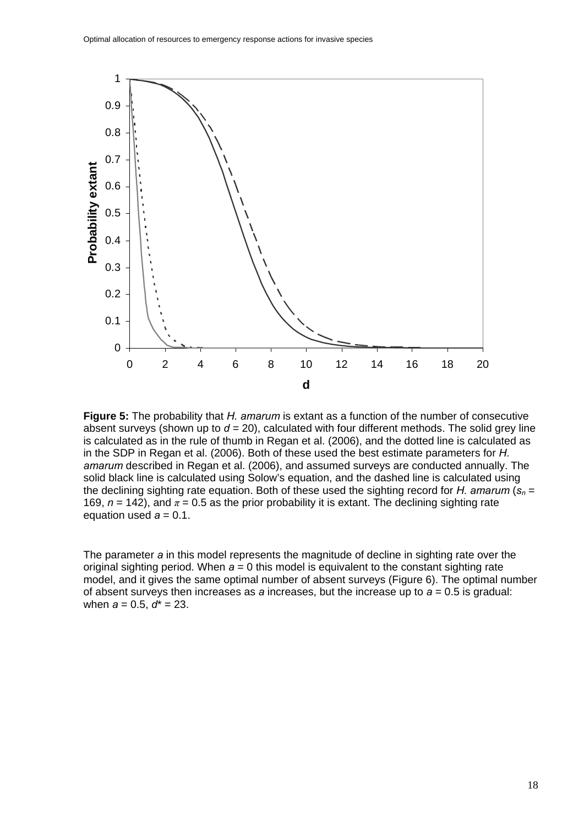

**Figure 5:** The probability that *H. amarum* is extant as a function of the number of consecutive absent surveys (shown up to  $d = 20$ ), calculated with four different methods. The solid grey line is calculated as in the rule of thumb in Regan et al. (2006), and the dotted line is calculated as in the SDP in Regan et al. (2006). Both of these used the best estimate parameters for *H. amarum* described in Regan et al. (2006), and assumed surveys are conducted annually. The solid black line is calculated using Solow's equation, and the dashed line is calculated using the declining sighting rate equation. Both of these used the sighting record for *H. amarum*  $(s_n =$ 169,  $n = 142$ ), and  $\pi = 0.5$  as the prior probability it is extant. The declining sighting rate equation used  $a = 0.1$ .

The parameter *a* in this model represents the magnitude of decline in sighting rate over the original sighting period. When *a* = 0 this model is equivalent to the constant sighting rate model, and it gives the same optimal number of absent surveys (Figure 6). The optimal number of absent surveys then increases as *a* increases, but the increase up to *a* = 0.5 is gradual: when *a* = 0.5, *d*\* = 23.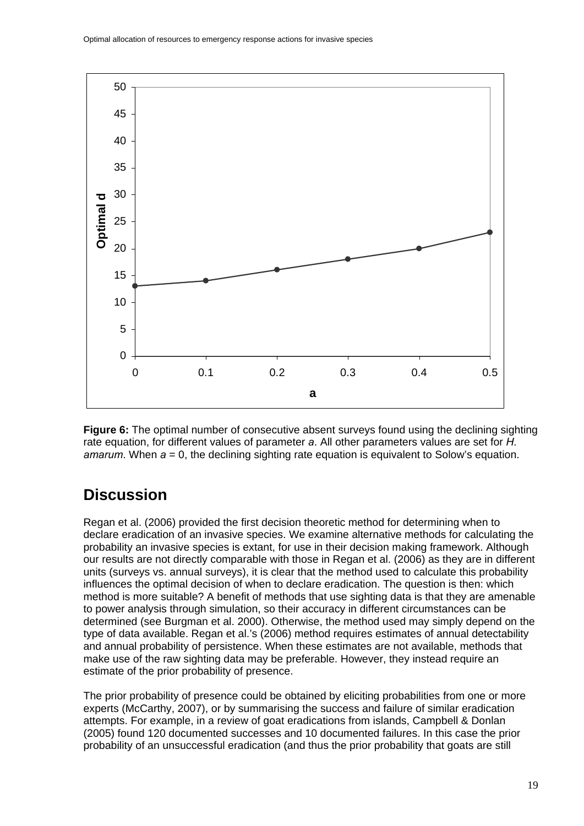<span id="page-18-0"></span>

**Figure 6:** The optimal number of consecutive absent surveys found using the declining sighting rate equation, for different values of parameter *a*. All other parameters values are set for *H. amarum*. When *a* = 0, the declining sighting rate equation is equivalent to Solow's equation.

## **Discussion**

Regan et al. (2006) provided the first decision theoretic method for determining when to declare eradication of an invasive species. We examine alternative methods for calculating the probability an invasive species is extant, for use in their decision making framework. Although our results are not directly comparable with those in Regan et al. (2006) as they are in different units (surveys vs. annual surveys), it is clear that the method used to calculate this probability influences the optimal decision of when to declare eradication. The question is then: which method is more suitable? A benefit of methods that use sighting data is that they are amenable to power analysis through simulation, so their accuracy in different circumstances can be determined (see Burgman et al. 2000). Otherwise, the method used may simply depend on the type of data available. Regan et al.'s (2006) method requires estimates of annual detectability and annual probability of persistence. When these estimates are not available, methods that make use of the raw sighting data may be preferable. However, they instead require an estimate of the prior probability of presence.

The prior probability of presence could be obtained by eliciting probabilities from one or more experts (McCarthy, 2007), or by summarising the success and failure of similar eradication attempts. For example, in a review of goat eradications from islands, Campbell & Donlan (2005) found 120 documented successes and 10 documented failures. In this case the prior probability of an unsuccessful eradication (and thus the prior probability that goats are still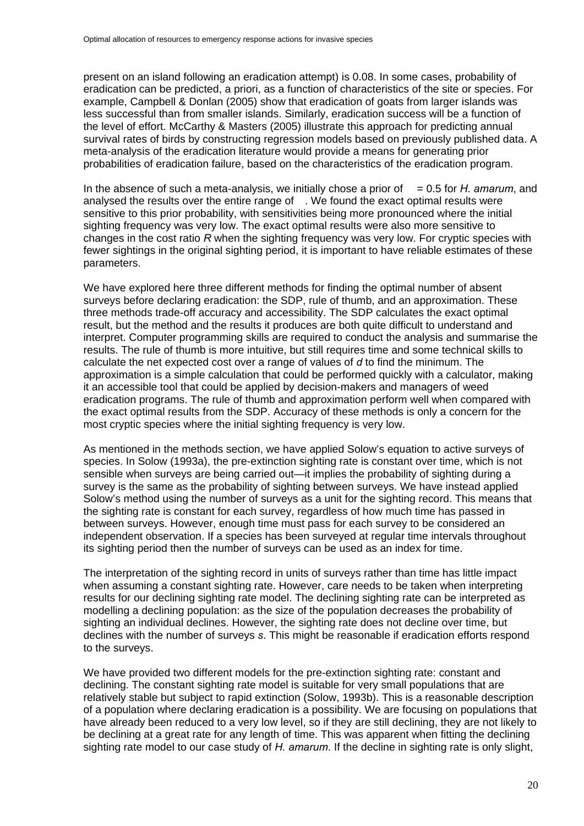present on an island following an eradication attempt) is 0.08. In some cases, probability of eradication can be predicted, a priori, as a function of characteristics of the site or species. For example, Campbell & Donlan (2005) show that eradication of goats from larger islands was less successful than from smaller islands. Similarly, eradication success will be a function of the level of effort. McCarthy & Masters (2005) illustrate this approach for predicting annual survival rates of birds by constructing regression models based on previously published data. A meta-analysis of the eradication literature would provide a means for generating prior probabilities of eradication failure, based on the characteristics of the eradication program.

In the absence of such a meta-analysis, we initially chose a prior of  $= 0.5$  for *H. amarum*, and analysed the results over the entire range of . We found the exact optimal results were sensitive to this prior probability, with sensitivities being more pronounced where the initial sighting frequency was very low. The exact optimal results were also more sensitive to changes in the cost ratio *R* when the sighting frequency was very low. For cryptic species with fewer sightings in the original sighting period, it is important to have reliable estimates of these parameters.

We have explored here three different methods for finding the optimal number of absent surveys before declaring eradication: the SDP, rule of thumb, and an approximation. These three methods trade-off accuracy and accessibility. The SDP calculates the exact optimal result, but the method and the results it produces are both quite difficult to understand and interpret. Computer programming skills are required to conduct the analysis and summarise the results. The rule of thumb is more intuitive, but still requires time and some technical skills to calculate the net expected cost over a range of values of *d* to find the minimum. The approximation is a simple calculation that could be performed quickly with a calculator, making it an accessible tool that could be applied by decision-makers and managers of weed eradication programs. The rule of thumb and approximation perform well when compared with the exact optimal results from the SDP. Accuracy of these methods is only a concern for the most cryptic species where the initial sighting frequency is very low.

As mentioned in the methods section, we have applied Solow's equation to active surveys of species. In Solow (1993a), the pre-extinction sighting rate is constant over time, which is not sensible when surveys are being carried out—it implies the probability of sighting during a survey is the same as the probability of sighting between surveys. We have instead applied Solow's method using the number of surveys as a unit for the sighting record. This means that the sighting rate is constant for each survey, regardless of how much time has passed in between surveys. However, enough time must pass for each survey to be considered an independent observation. If a species has been surveyed at regular time intervals throughout its sighting period then the number of surveys can be used as an index for time.

The interpretation of the sighting record in units of surveys rather than time has little impact when assuming a constant sighting rate. However, care needs to be taken when interpreting results for our declining sighting rate model. The declining sighting rate can be interpreted as modelling a declining population: as the size of the population decreases the probability of sighting an individual declines. However, the sighting rate does not decline over time, but declines with the number of surveys *s*. This might be reasonable if eradication efforts respond to the surveys.

We have provided two different models for the pre-extinction sighting rate: constant and declining. The constant sighting rate model is suitable for very small populations that are relatively stable but subject to rapid extinction (Solow, 1993b). This is a reasonable description of a population where declaring eradication is a possibility. We are focusing on populations that have already been reduced to a very low level, so if they are still declining, they are not likely to be declining at a great rate for any length of time. This was apparent when fitting the declining sighting rate model to our case study of *H. amarum*. If the decline in sighting rate is only slight,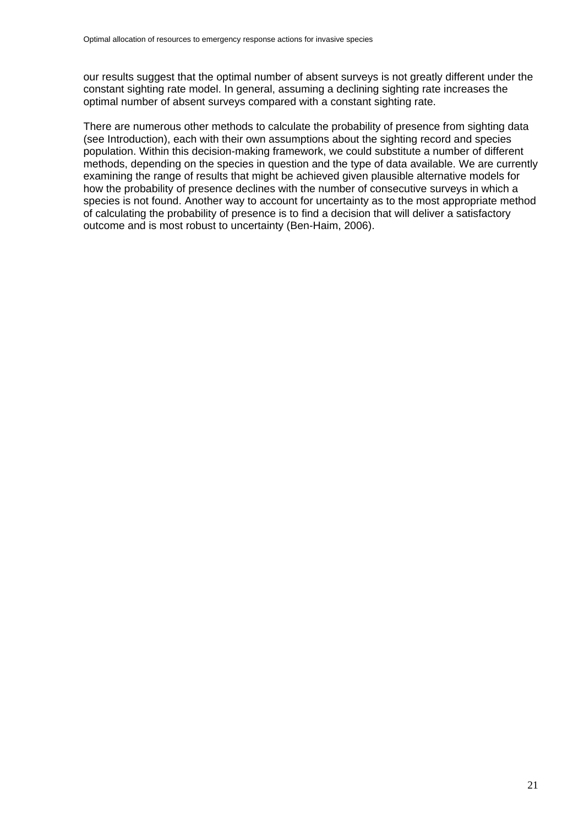our results suggest that the optimal number of absent surveys is not greatly different under the constant sighting rate model. In general, assuming a declining sighting rate increases the optimal number of absent surveys compared with a constant sighting rate.

There are numerous other methods to calculate the probability of presence from sighting data (see Introduction), each with their own assumptions about the sighting record and species population. Within this decision-making framework, we could substitute a number of different methods, depending on the species in question and the type of data available. We are currently examining the range of results that might be achieved given plausible alternative models for how the probability of presence declines with the number of consecutive surveys in which a species is not found. Another way to account for uncertainty as to the most appropriate method of calculating the probability of presence is to find a decision that will deliver a satisfactory outcome and is most robust to uncertainty (Ben-Haim, 2006).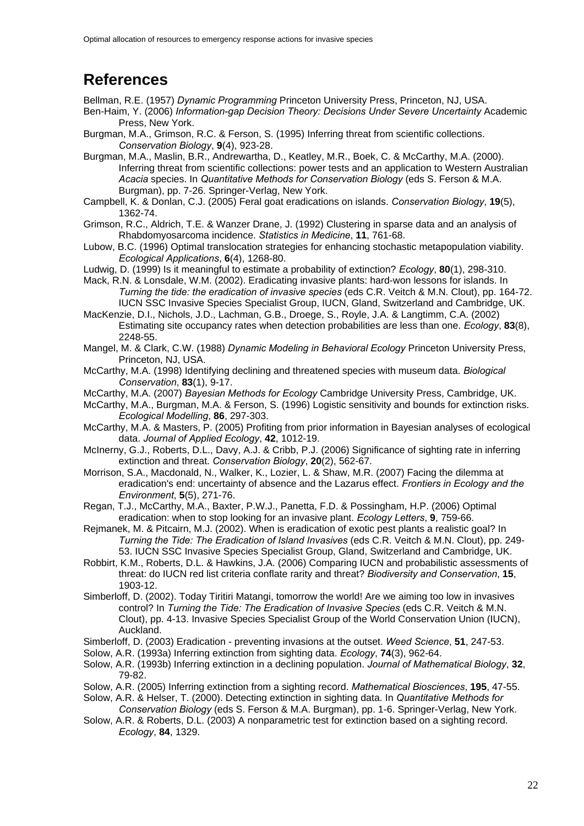### <span id="page-21-0"></span>**References**

Bellman, R.E. (1957) *Dynamic Programming* Princeton University Press, Princeton, NJ, USA.

- Ben-Haim, Y. (2006) *Information-gap Decision Theory: Decisions Under Severe Uncertainty* Academic Press, New York.
- Burgman, M.A., Grimson, R.C. & Ferson, S. (1995) Inferring threat from scientific collections. *Conservation Biology*, **9**(4), 923-28.
- Burgman, M.A., Maslin, B.R., Andrewartha, D., Keatley, M.R., Boek, C. & McCarthy, M.A. (2000). Inferring threat from scientific collections: power tests and an application to Western Australian *Acacia* species. In *Quantitative Methods for Conservation Biology* (eds S. Ferson & M.A. Burgman), pp. 7-26. Springer-Verlag, New York.
- Campbell, K. & Donlan, C.J. (2005) Feral goat eradications on islands. *Conservation Biology*, **19**(5), 1362-74.
- Grimson, R.C., Aldrich, T.E. & Wanzer Drane, J. (1992) Clustering in sparse data and an analysis of Rhabdomyosarcoma incidence. *Statistics in Medicine*, **11**, 761-68.
- Lubow, B.C. (1996) Optimal translocation strategies for enhancing stochastic metapopulation viability. *Ecological Applications*, **6**(4), 1268-80.
- Ludwig, D. (1999) Is it meaningful to estimate a probability of extinction? *Ecology*, **80**(1), 298-310.
- Mack, R.N. & Lonsdale, W.M. (2002). Eradicating invasive plants: hard-won lessons for islands. In *Turning the tide: the eradication of invasive species* (eds C.R. Veitch & M.N. Clout), pp. 164-72. IUCN SSC Invasive Species Specialist Group, IUCN, Gland, Switzerland and Cambridge, UK.
- MacKenzie, D.I., Nichols, J.D., Lachman, G.B., Droege, S., Royle, J.A. & Langtimm, C.A. (2002) Estimating site occupancy rates when detection probabilities are less than one. *Ecology*, **83**(8), 2248-55.
- Mangel, M. & Clark, C.W. (1988) *Dynamic Modeling in Behavioral Ecology* Princeton University Press, Princeton, NJ, USA.
- McCarthy, M.A. (1998) Identifying declining and threatened species with museum data. *Biological Conservation*, **83**(1), 9-17.
- McCarthy, M.A. (2007) *Bayesian Methods for Ecology* Cambridge University Press, Cambridge, UK.
- McCarthy, M.A., Burgman, M.A. & Ferson, S. (1996) Logistic sensitivity and bounds for extinction risks. *Ecological Modelling*, **86**, 297-303.
- McCarthy, M.A. & Masters, P. (2005) Profiting from prior information in Bayesian analyses of ecological data. *Journal of Applied Ecology*, **42**, 1012-19.
- McInerny, G.J., Roberts, D.L., Davy, A.J. & Cribb, P.J. (2006) Significance of sighting rate in inferring extinction and threat. *Conservation Biology*, **20**(2), 562-67.
- Morrison, S.A., Macdonald, N., Walker, K., Lozier, L. & Shaw, M.R. (2007) Facing the dilemma at eradication's end: uncertainty of absence and the Lazarus effect. *Frontiers in Ecology and the Environment*, **5**(5), 271-76.
- Regan, T.J., McCarthy, M.A., Baxter, P.W.J., Panetta, F.D. & Possingham, H.P. (2006) Optimal eradication: when to stop looking for an invasive plant. *Ecology Letters*, **9**, 759-66.
- Rejmanek, M. & Pitcairn, M.J. (2002). When is eradication of exotic pest plants a realistic goal? In *Turning the Tide: The Eradication of Island Invasives* (eds C.R. Veitch & M.N. Clout), pp. 249- 53. IUCN SSC Invasive Species Specialist Group, Gland, Switzerland and Cambridge, UK.
- Robbirt, K.M., Roberts, D.L. & Hawkins, J.A. (2006) Comparing IUCN and probabilistic assessments of threat: do IUCN red list criteria conflate rarity and threat? *Biodiversity and Conservation*, **15**, 1903-12.
- Simberloff, D. (2002). Today Tiritiri Matangi, tomorrow the world! Are we aiming too low in invasives control? In *Turning the Tide: The Eradication of Invasive Species* (eds C.R. Veitch & M.N. Clout), pp. 4-13. Invasive Species Specialist Group of the World Conservation Union (IUCN), Auckland.
- Simberloff, D. (2003) Eradication preventing invasions at the outset. *Weed Science*, **51**, 247-53.
- Solow, A.R. (1993a) Inferring extinction from sighting data. *Ecology*, **74**(3), 962-64.
- Solow, A.R. (1993b) Inferring extinction in a declining population. *Journal of Mathematical Biology*, **32**, 79-82.
- Solow, A.R. (2005) Inferring extinction from a sighting record. *Mathematical Biosciences*, **195**, 47-55.
- Solow, A.R. & Helser, T. (2000). Detecting extinction in sighting data. In *Quantitative Methods for Conservation Biology* (eds S. Ferson & M.A. Burgman), pp. 1-6. Springer-Verlag, New York.
- Solow, A.R. & Roberts, D.L. (2003) A nonparametric test for extinction based on a sighting record. *Ecology*, **84**, 1329.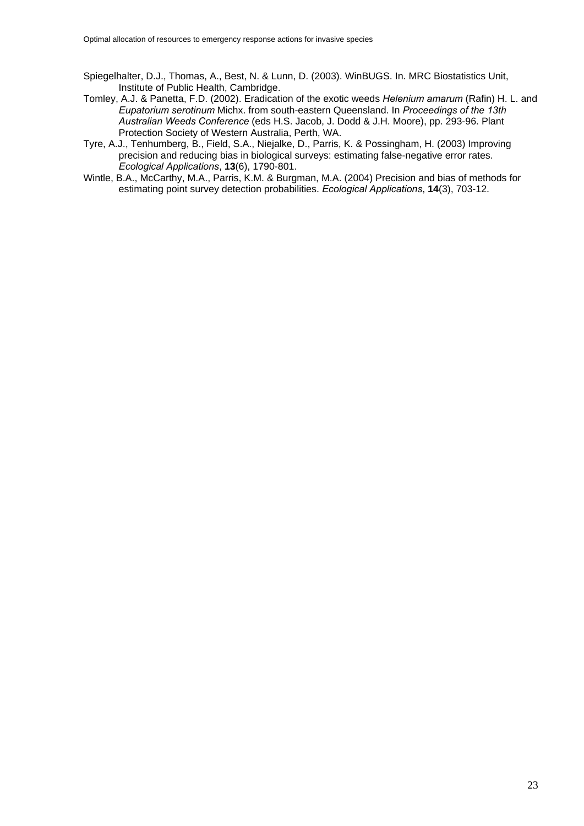- Spiegelhalter, D.J., Thomas, A., Best, N. & Lunn, D. (2003). WinBUGS. In. MRC Biostatistics Unit, Institute of Public Health, Cambridge.
- Tomley, A.J. & Panetta, F.D. (2002). Eradication of the exotic weeds *Helenium amarum* (Rafin) H. L. and *Eupatorium serotinum* Michx. from south-eastern Queensland. In *Proceedings of the 13th Australian Weeds Conference* (eds H.S. Jacob, J. Dodd & J.H. Moore), pp. 293-96. Plant Protection Society of Western Australia, Perth, WA.
- Tyre, A.J., Tenhumberg, B., Field, S.A., Niejalke, D., Parris, K. & Possingham, H. (2003) Improving precision and reducing bias in biological surveys: estimating false-negative error rates. *Ecological Applications*, **13**(6), 1790-801.
- Wintle, B.A., McCarthy, M.A., Parris, K.M. & Burgman, M.A. (2004) Precision and bias of methods for estimating point survey detection probabilities. *Ecological Applications*, **14**(3), 703-12.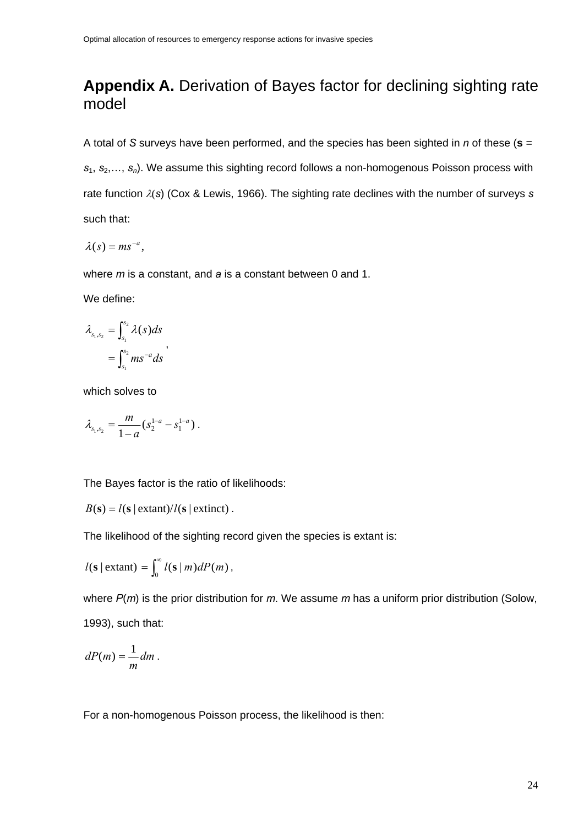## <span id="page-23-0"></span>**Appendix A.** Derivation of Bayes factor for declining sighting rate model

A total of *S* surveys have been performed, and the species has been sighted in *n* of these (**s** = *s*<sub>1</sub>, *s*<sub>2</sub>,…, *s*<sub>n</sub>). We assume this sighting record follows a non-homogenous Poisson process with rate function λ(*s*) (Cox & Lewis, 1966). The sighting rate declines with the number of surveys *s* such that:

$$
\lambda(s) = ms^{-a},
$$

where *m* is a constant, and *a* is a constant between 0 and 1.

We define:

$$
\lambda_{s_1,s_2} = \int_{s_1}^{s_2} \lambda(s) ds
$$
  
= 
$$
\int_{s_1}^{s_2} m s^{-a} ds
$$
,

which solves to

$$
\lambda_{s_1,s_2} = \frac{m}{1-a} (s_2^{1-a} - s_1^{1-a}).
$$

The Bayes factor is the ratio of likelihoods:

$$
B(s) = l(s | \text{extant})/l(s | \text{extinct}).
$$

The likelihood of the sighting record given the species is extant is:

$$
l(\mathbf{s} \mid \text{extant}) = \int_0^\infty l(\mathbf{s} \mid m) dP(m),
$$

where *P*(*m*) is the prior distribution for *m*. We assume *m* has a uniform prior distribution (Solow, 1993), such that:

$$
dP(m) = \frac{1}{m} dm.
$$

For a non-homogenous Poisson process, the likelihood is then: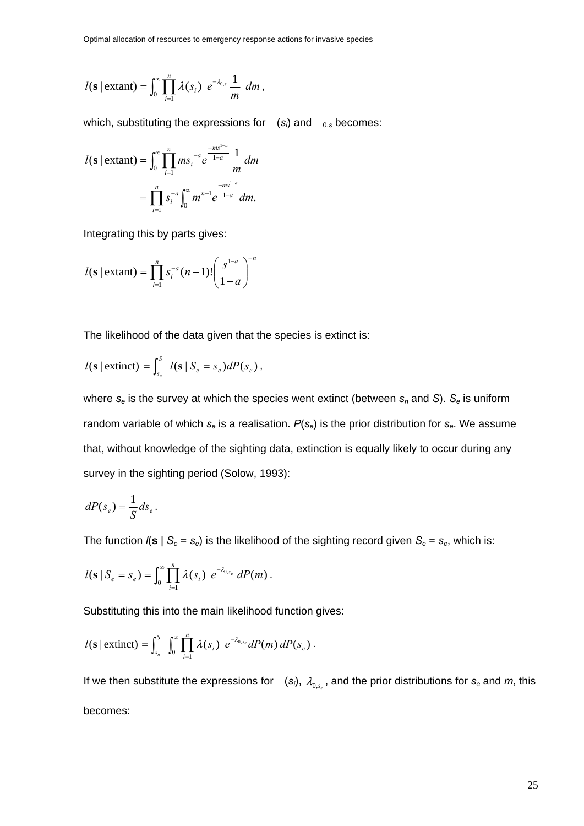$$
l(\mathbf{s} \mid \text{extant}) = \int_0^\infty \prod_{i=1}^n \lambda(s_i) \ e^{-\lambda_{0,s}} \frac{1}{m} \ dm,
$$

which, substituting the expressions for  $(s_i)$  and  $_{0,s}$  becomes:

$$
l(\mathbf{s} \mid \text{extant}) = \int_0^\infty \prod_{i=1}^n m s_i^{-a} e^{\frac{-m s^{1-a}}{1-a}} \frac{1}{m} \, dm
$$

$$
= \prod_{i=1}^n s_i^{-a} \int_0^\infty m^{n-1} e^{\frac{-m s^{1-a}}{1-a}} \, dm.
$$

Integrating this by parts gives:

$$
l(\mathbf{s} \mid \text{extant}) = \prod_{i=1}^{n} s_i^{-a} (n-1)! \left( \frac{s^{1-a}}{1-a} \right)^{-n}
$$

The likelihood of the data given that the species is extinct is:

$$
l(\mathbf{s} \mid \text{extinct}) = \int_{s_n}^{S} l(\mathbf{s} \mid S_e = s_e) dP(s_e),
$$

where  $s_e$  is the survey at which the species went extinct (between  $s_n$  and *S*).  $S_e$  is uniform random variable of which *se* is a realisation. *P*(*se*) is the prior distribution for *se*. We assume that, without knowledge of the sighting data, extinction is equally likely to occur during any survey in the sighting period (Solow, 1993):

$$
dP(s_e) = \frac{1}{S} ds_e.
$$

The function  $I(s \mid S_e = s_e)$  is the likelihood of the sighting record given  $S_e = s_e$ , which is:

$$
l(\mathbf{s} | S_e = s_e) = \int_0^{\infty} \prod_{i=1}^n \lambda(s_i) e^{-\lambda_{0,s_e}} dP(m).
$$

Substituting this into the main likelihood function gives:

$$
l(\mathbf{s} \mid \text{extinct}) = \int_{s_n}^{S} \int_0^{\infty} \prod_{i=1}^n \lambda(s_i) e^{-\lambda_{0,s_e}} dP(m) dP(s_e).
$$

If we then substitute the expressions for  $(s_i)$ ,  $\lambda_{0,s}$ , and the prior distributions for  $s_e$  and  $m$ , this becomes: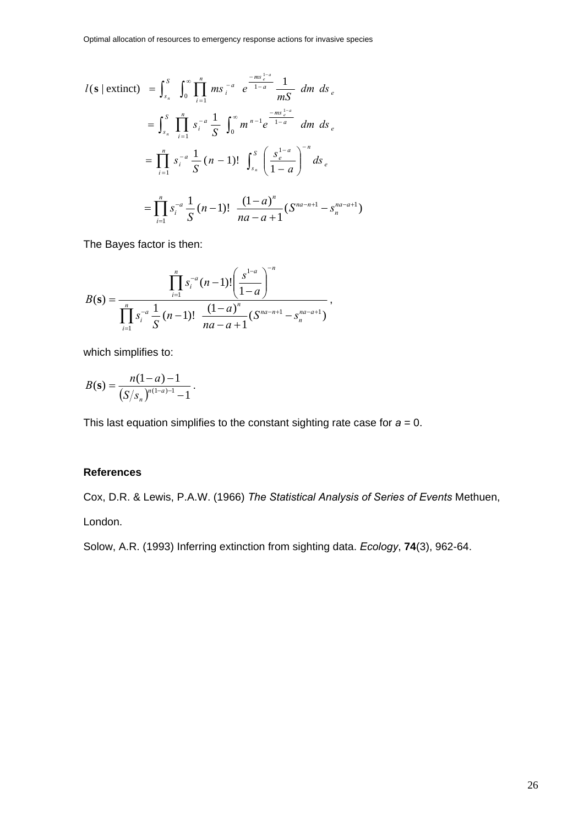$$
l(\mathbf{s} \mid \text{extinct}) = \int_{s_n}^{S} \int_{0}^{\infty} \prod_{i=1}^{n} m s_i^{-a} e^{\frac{-m s_i^{1-a}}{1-a}} \frac{1}{m S} dm ds_e
$$
  

$$
= \int_{s_n}^{S} \prod_{i=1}^{n} s_i^{-a} \frac{1}{S} \int_{0}^{\infty} m^{n-1} e^{\frac{-m s_i^{1-a}}{1-a}} dm ds_e
$$
  

$$
= \prod_{i=1}^{n} s_i^{-a} \frac{1}{S} (n-1)! \int_{s_n}^{S} \left( \frac{s_e^{1-a}}{1-a} \right)^{-n} ds_e
$$
  

$$
= \prod_{i=1}^{n} s_i^{-a} \frac{1}{S} (n-1)! \frac{(1-a)^n}{na-a+1} (S^{na-n+1} - S_n^{na-a+1})
$$

The Bayes factor is then:

$$
B(\mathbf{s}) = \frac{\prod_{i=1}^{n} s_i^{-a} (n-1)! \left( \frac{s^{1-a}}{1-a} \right)^{-n}}{\prod_{i=1}^{n} s_i^{-a} \frac{1}{S} (n-1)! \frac{(1-a)^n}{na-a+1} (S^{na-n+1} - S_n^{na-a+1})},
$$

which simplifies to:

$$
B(\mathbf{s}) = \frac{n(1-a)-1}{\left(S/s_n\right)^{n(1-a)-1}-1}.
$$

This last equation simplifies to the constant sighting rate case for  $a = 0$ .

#### **References**

Cox, D.R. & Lewis, P.A.W. (1966) *The Statistical Analysis of Series of Events* Methuen,

London.

Solow, A.R. (1993) Inferring extinction from sighting data. *Ecology*, **74**(3), 962-64.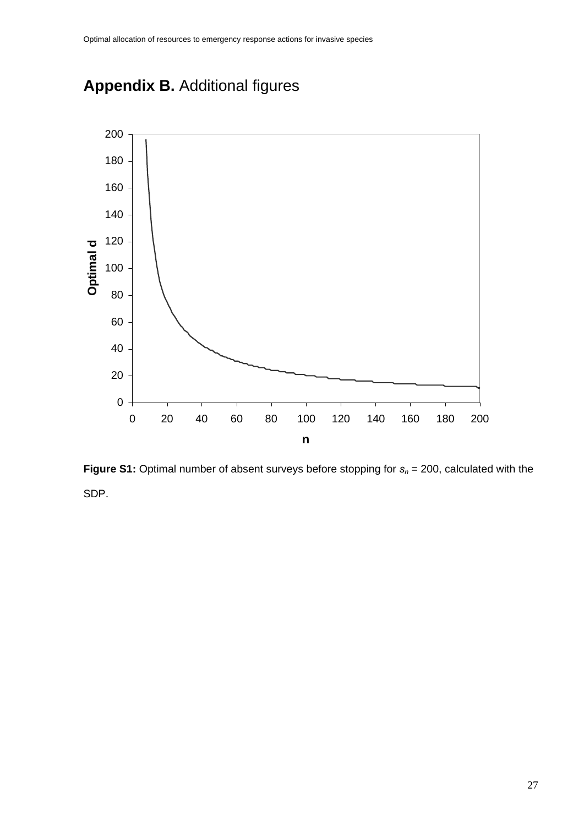<span id="page-26-0"></span>



**Figure S1:** Optimal number of absent surveys before stopping for  $s_n = 200$ , calculated with the SDP.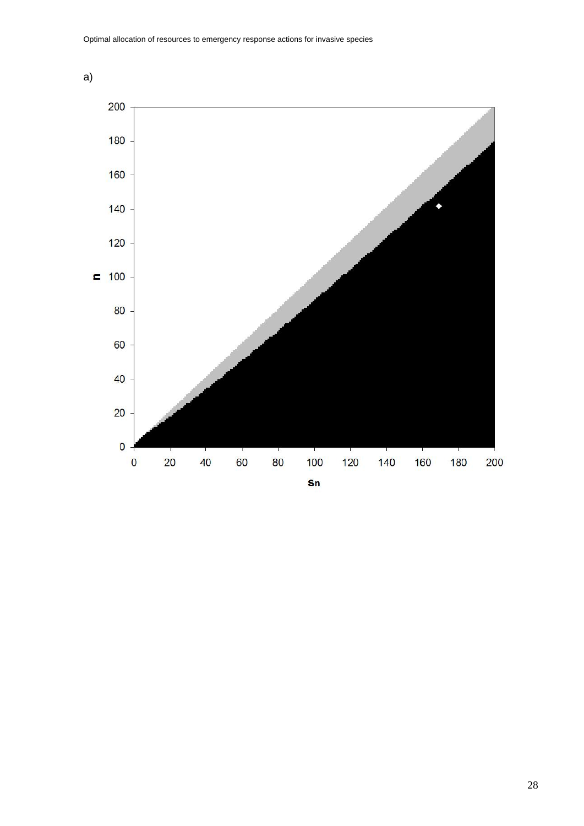